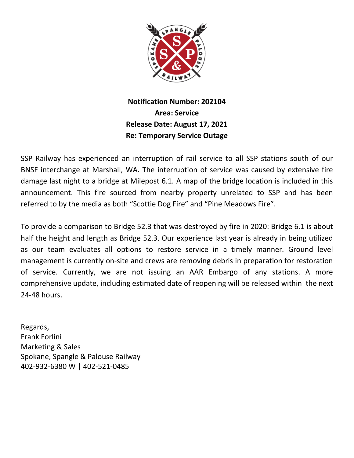

## **Notification Number: 202104 Area: Service Release Date: August 17, 2021 Re: Temporary Service Outage**

SSP Railway has experienced an interruption of rail service to all SSP stations south of our BNSF interchange at Marshall, WA. The interruption of service was caused by extensive fire damage last night to a bridge at Milepost 6.1. A map of the bridge location is included in this announcement. This fire sourced from nearby property unrelated to SSP and has been referred to by the media as both "Scottie Dog Fire" and "Pine Meadows Fire".

To provide a comparison to Bridge 52.3 that was destroyed by fire in 2020: Bridge 6.1 is about half the height and length as Bridge 52.3. Our experience last year is already in being utilized as our team evaluates all options to restore service in a timely manner. Ground level management is currently on-site and crews are removing debris in preparation for restoration of service. Currently, we are not issuing an AAR Embargo of any stations. A more comprehensive update, including estimated date of reopening will be released within the next 24-48 hours.

Regards, Frank Forlini Marketing & Sales Spokane, Spangle & Palouse Railway 402-932-6380 W | 402-521-0485